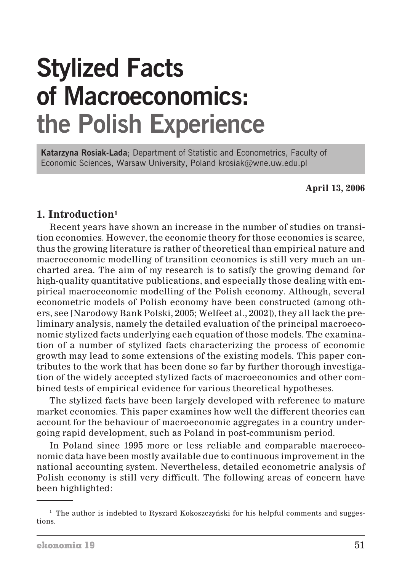# **Stylized Facts of Macroeconomics: the Polish Experience**

**Katarzyna Rosiak-Lada**; Department of Statistic and Econometrics, Faculty of Economic Sciences, Warsaw University, Poland krosiak@wne.uw.edu.pl

**April 13, 2006**

## **1. Introduction1**

Recent years have shown an increase in the number of studies on transition economies. However, the economic theory for those economies is scarce, thus the growing literature is rather of theoretical than empirical nature and macroeconomic modelling of transition economies is still very much an uncharted area. The aim of my research is to satisfy the growing demand for high-quality quantitative publications, and especially those dealing with empirical macroeconomic modelling of the Polish economy. Although, several econometric models of Polish economy have been constructed (among others, see [Narodowy Bank Polski, 2005; Welfeet al., 2002]), they all lack the preliminary analysis, namely the detailed evaluation of the principal macroeconomic stylized facts underlying each equation of those models. The examination of a number of stylized facts characterizing the process of economic growth may lead to some extensions of the existing models. This paper contributes to the work that has been done so far by further thorough investigation of the widely accepted stylized facts of macroeconomics and other combined tests of empirical evidence for various theoretical hypotheses.

The stylized facts have been largely developed with reference to mature market economies. This paper examines how well the different theories can account for the behaviour of macroeconomic aggregates in a country undergoing rapid development, such as Poland in post-communism period.

In Poland since 1995 more or less reliable and comparable macroeconomic data have been mostly available due to continuous improvement in the national accounting system. Nevertheless, detailed econometric analysis of Polish economy is still very difficult. The following areas of concern have been highlighted:

 $1$  The author is indebted to Ryszard Kokoszczyński for his helpful comments and suggestions.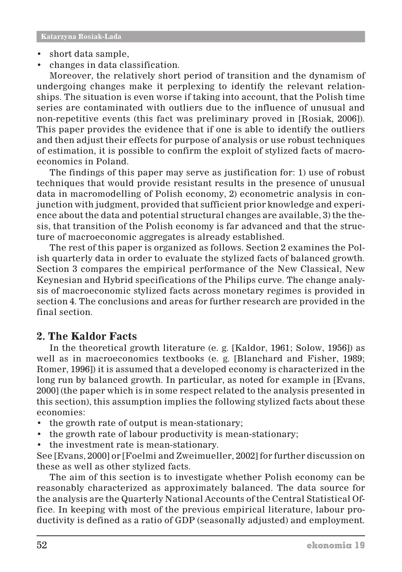- short data sample,
- changes in data classification.

Moreover, the relatively short period of transition and the dynamism of undergoing changes make it perplexing to identify the relevant relationships. The situation is even worse if taking into account, that the Polish time series are contaminated with outliers due to the influence of unusual and non-repetitive events (this fact was preliminary proved in [Rosiak, 2006]). This paper provides the evidence that if one is able to identify the outliers and then adjust their effects for purpose of analysis or use robust techniques of estimation, it is possible to confirm the exploit of stylized facts of macroeconomics in Poland.

The findings of this paper may serve as justification for: 1) use of robust techniques that would provide resistant results in the presence of unusual data in macromodelling of Polish economy, 2) econometric analysis in conjunction with judgment, provided that sufficient prior knowledge and experience about the data and potential structural changes are available, 3) the thesis, that transition of the Polish economy is far advanced and that the structure of macroeconomic aggregates is already established.

The rest of this paper is organized as follows. Section 2 examines the Polish quarterly data in order to evaluate the stylized facts of balanced growth. Section 3 compares the empirical performance of the New Classical, New Keynesian and Hybrid specifications of the Philips curve. The change analysis of macroeconomic stylized facts across monetary regimes is provided in section 4. The conclusions and areas for further research are provided in the final section.

## **2. The Kaldor Facts**

In the theoretical growth literature (e. g. [Kaldor, 1961; Solow, 1956]) as well as in macroeconomics textbooks (e. g. [Blanchard and Fisher, 1989; Romer, 1996]) it is assumed that a developed economy is characterized in the long run by balanced growth. In particular, as noted for example in [Evans, 2000] (the paper which is in some respect related to the analysis presented in this section), this assumption implies the following stylized facts about these economies:

- the growth rate of output is mean-stationary;
- the growth rate of labour productivity is mean-stationary;
- the investment rate is mean-stationary.

See [Evans, 2000] or [Foelmi and Zweimueller, 2002] for further discussion on these as well as other stylized facts.

The aim of this section is to investigate whether Polish economy can be reasonably characterized as approximately balanced. The data source for the analysis are the Quarterly National Accounts of the Central Statistical Office. In keeping with most of the previous empirical literature, labour productivity is defined as a ratio of GDP (seasonally adjusted) and employment.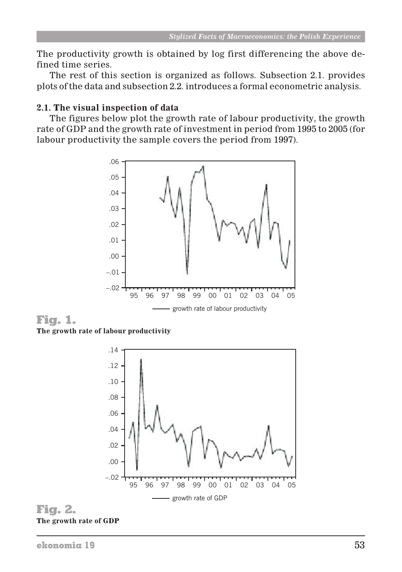The productivity growth is obtained by log first differencing the above defined time series.

The rest of this section is organized as follows. Subsection 2.1. provides plots of the data and subsection 2.2. introduces a formal econometric analysis.

#### **2.1. The visual inspection of data**

The figures below plot the growth rate of labour productivity, the growth rate of GDP and the growth rate of investment in period from 1995 to 2005 (for labour productivity the sample covers the period from 1997).



Fig. 1. **The growth rate of labour productivity**



Fig. 2. **The growth rate of GDP**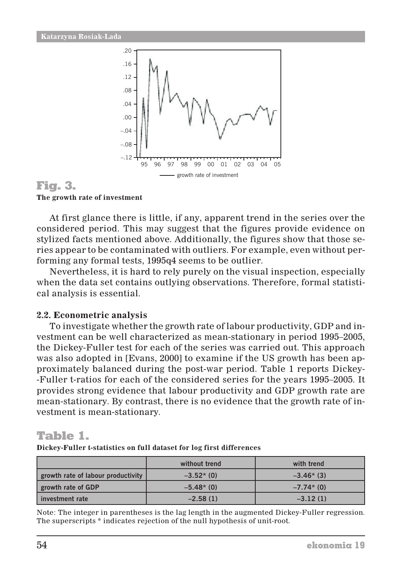

Fig. 3. **The growth rate of investment**

At first glance there is little, if any, apparent trend in the series over the considered period. This may suggest that the figures provide evidence on stylized facts mentioned above. Additionally, the figures show that those series appear to be contaminated with outliers. For example, even without performing any formal tests, 1995q4 seems to be outlier.

Nevertheless, it is hard to rely purely on the visual inspection, especially when the data set contains outlying observations. Therefore, formal statistical analysis is essential.

#### **2.2. Econometric analysis**

To investigate whether the growth rate of labour productivity, GDP and investment can be well characterized as mean-stationary in period 1995–2005, the Dickey-Fuller test for each of the series was carried out. This approach was also adopted in [Evans, 2000] to examine if the US growth has been approximately balanced during the post-war period. Table 1 reports Dickey- -Fuller t-ratios for each of the considered series for the years 1995–2005. It provides strong evidence that labour productivity and GDP growth rate are mean-stationary. By contrast, there is no evidence that the growth rate of investment is mean-stationary.

# Table 1.

**Dickey-Fuller t-statistics on full dataset for log first differences**

|                                    | without trend | with trend  |
|------------------------------------|---------------|-------------|
| growth rate of labour productivity | $-3.52*(0)$   | $-3.46*(3)$ |
| growth rate of GDP                 | $-5.48*(0)$   | $-7.74*(0)$ |
| l investment rate                  | $-2.58(1)$    | $-3.12(1)$  |

Note: The integer in parentheses is the lag length in the augmented Dickey-Fuller regression. The superscripts \* indicates rejection of the null hypothesis of unit-root.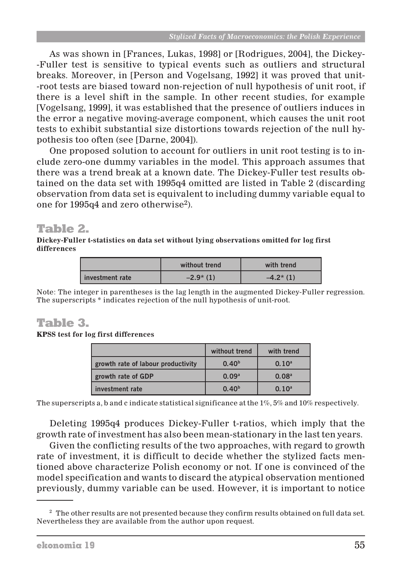As was shown in [Frances, Lukas, 1998] or [Rodrigues, 2004], the Dickey- -Fuller test is sensitive to typical events such as outliers and structural breaks. Moreover, in [Person and Vogelsang, 1992] it was proved that unit- -root tests are biased toward non-rejection of null hypothesis of unit root, if there is a level shift in the sample. In other recent studies, for example [Vogelsang, 1999], it was established that the presence of outliers induces in the error a negative moving-average component, which causes the unit root tests to exhibit substantial size distortions towards rejection of the null hypothesis too often (see [Darne, 2004]).

One proposed solution to account for outliers in unit root testing is to include zero-one dummy variables in the model. This approach assumes that there was a trend break at a known date. The Dickey-Fuller test results obtained on the data set with 1995q4 omitted are listed in Table 2 (discarding observation from data set is equivalent to including dummy variable equal to one for 1995q4 and zero otherwise2).

# Table 2.

**Dickey-Fuller t-statistics on data set without lying observations omitted for log first differences**

|                   | without trend | with trend |
|-------------------|---------------|------------|
| l investment rate | $-2.9*(1)$    | $-4.2*(1)$ |

Note: The integer in parentheses is the lag length in the augmented Dickey-Fuller regression. The superscripts \* indicates rejection of the null hypothesis of unit-root.

# Table 3.

**KPSS test for log first differences**

|                                    | without trend     | with trend        |
|------------------------------------|-------------------|-------------------|
| growth rate of labour productivity | 0.40 <sup>b</sup> | 0.10 <sup>a</sup> |
| growth rate of GDP                 | 0.09 <sup>a</sup> | 0.08 <sup>a</sup> |
| investment rate                    | 0.40 <sup>b</sup> | 0.10 <sup>a</sup> |

The superscripts a, b and c indicate statistical significance at the 1%, 5% and 10% respectively.

Deleting 1995q4 produces Dickey-Fuller t-ratios, which imply that the growth rate of investment has also been mean-stationary in the last ten years.

Given the conflicting results of the two approaches, with regard to growth rate of investment, it is difficult to decide whether the stylized facts mentioned above characterize Polish economy or not. If one is convinced of the model specification and wants to discard the atypical observation mentioned previously, dummy variable can be used. However, it is important to notice

<sup>&</sup>lt;sup>2</sup> The other results are not presented because they confirm results obtained on full data set. Nevertheless they are available from the author upon request.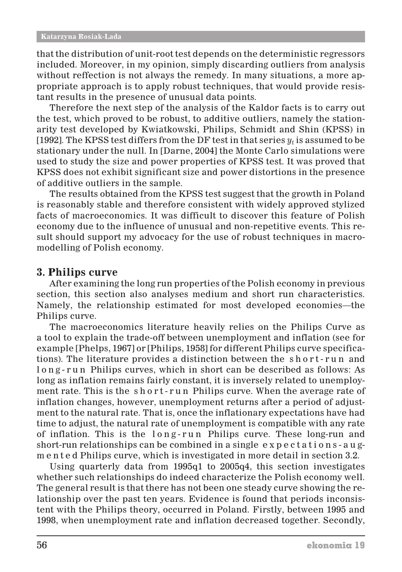that the distribution of unit-root test depends on the deterministic regressors included. Moreover, in my opinion, simply discarding outliers from analysis without reffection is not always the remedy. In many situations, a more appropriate approach is to apply robust techniques, that would provide resistant results in the presence of unusual data points.

Therefore the next step of the analysis of the Kaldor facts is to carry out the test, which proved to be robust, to additive outliers, namely the stationarity test developed by Kwiatkowski, Philips, Schmidt and Shin (KPSS) in [1992]. The KPSS test differs from the DF test in that series  $y_t$  is assumed to be stationary under the null. In [Darne, 2004] the Monte Carlo simulations were used to study the size and power properties of KPSS test. It was proved that KPSS does not exhibit significant size and power distortions in the presence of additive outliers in the sample.

The results obtained from the KPSS test suggest that the growth in Poland is reasonably stable and therefore consistent with widely approved stylized facts of macroeconomics. It was difficult to discover this feature of Polish economy due to the influence of unusual and non-repetitive events. This result should support my advocacy for the use of robust techniques in macromodelling of Polish economy.

## **3. Philips curve**

After examining the long run properties of the Polish economy in previous section, this section also analyses medium and short run characteristics. Namely, the relationship estimated for most developed economies—the Philips curve.

The macroeconomics literature heavily relies on the Philips Curve as a tool to explain the trade-off between unemployment and inflation (see for example [Phelps, 1967] or [Philips, 1958] for different Philips curve specifications). The literature provides a distinction between the s h o r t - r u n and long-run Philips curves, which in short can be described as follows: As long as inflation remains fairly constant, it is inversely related to unemployment rate. This is the short-run Philips curve. When the average rate of inflation changes, however, unemployment returns after a period of adjustment to the natural rate. That is, once the inflationary expectations have had time to adjust, the natural rate of unemployment is compatible with any rate of inflation. This is the long-run Philips curve. These long-run and short-run relationships can be combined in a single expectations-augmented Philips curve, which is investigated in more detail in section 3.2.

Using quarterly data from 1995q1 to 2005q4, this section investigates whether such relationships do indeed characterize the Polish economy well. The general result is that there has not been one steady curve showing the relationship over the past ten years. Evidence is found that periods inconsistent with the Philips theory, occurred in Poland. Firstly, between 1995 and 1998, when unemployment rate and inflation decreased together. Secondly,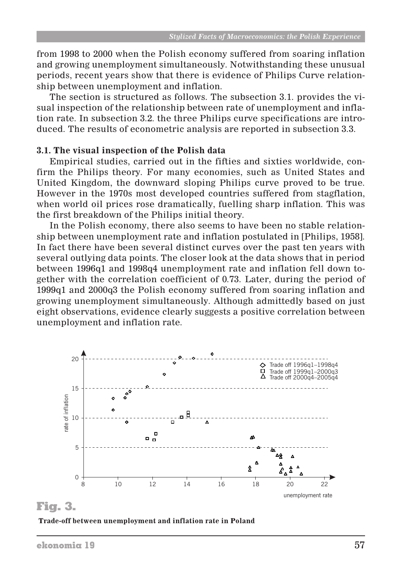from 1998 to 2000 when the Polish economy suffered from soaring inflation and growing unemployment simultaneously. Notwithstanding these unusual periods, recent years show that there is evidence of Philips Curve relationship between unemployment and inflation.

The section is structured as follows. The subsection 3.1. provides the visual inspection of the relationship between rate of unemployment and inflation rate. In subsection 3.2. the three Philips curve specifications are introduced. The results of econometric analysis are reported in subsection 3.3.

#### **3.1. The visual inspection of the Polish data**

Empirical studies, carried out in the fifties and sixties worldwide, confirm the Philips theory. For many economies, such as United States and United Kingdom, the downward sloping Philips curve proved to be true. However in the 1970s most developed countries suffered from stagflation, when world oil prices rose dramatically, fuelling sharp inflation. This was the first breakdown of the Philips initial theory.

In the Polish economy, there also seems to have been no stable relationship between unemployment rate and inflation postulated in [Philips, 1958]. In fact there have been several distinct curves over the past ten years with several outlying data points. The closer look at the data shows that in period between 1996q1 and 1998q4 unemployment rate and inflation fell down together with the correlation coefficient of 0*.*73. Later, during the period of 1999q1 and 2000q3 the Polish economy suffered from soaring inflation and growing unemployment simultaneously. Although admittedly based on just eight observations, evidence clearly suggests a positive correlation between unemployment and inflation rate.



## Fig. 3.

**Trade-off between unemployment and inflation rate in Poland**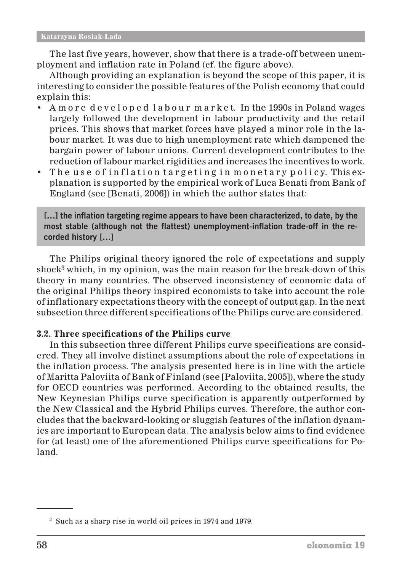The last five years, however, show that there is a trade-off between unemployment and inflation rate in Poland (cf. the figure above).

Although providing an explanation is beyond the scope of this paper, it is interesting to consider the possible features of the Polish economy that could explain this:

- A m o r e d e v e l o p e d l a b o u r m a r k e t. In the 1990s in Poland wages largely followed the development in labour productivity and the retail prices. This shows that market forces have played a minor role in the labour market. It was due to high unemployment rate which dampened the bargain power of labour unions. Current development contributes to the reduction of labour market rigidities and increases the incentives to work.
- The use of inflation targeting in monetary policy. This explanation is supported by the empirical work of Luca Benati from Bank of England (see [Benati, 2006]) in which the author states that:

**[…] the inflation targeting regime appears to have been characterized, to date, by the most stable (although not the flattest) unemployment-inflation trade-off in the recorded history […]**

The Philips original theory ignored the role of expectations and supply shock<sup>3</sup> which, in my opinion, was the main reason for the break-down of this theory in many countries. The observed inconsistency of economic data of the original Philips theory inspired economists to take into account the role of inflationary expectations theory with the concept of output gap. In the next subsection three different specifications of the Philips curve are considered.

#### **3.2. Three specifications of the Philips curve**

In this subsection three different Philips curve specifications are considered. They all involve distinct assumptions about the role of expectations in the inflation process. The analysis presented here is in line with the article of Maritta Paloviita of Bank of Finland (see [Paloviita, 2005]), where the study for OECD countries was performed. According to the obtained results, the New Keynesian Philips curve specification is apparently outperformed by the New Classical and the Hybrid Philips curves. Therefore, the author concludes that the backward-looking or sluggish features of the inflation dynamics are important to European data. The analysis below aims to find evidence for (at least) one of the aforementioned Philips curve specifications for Poland.

<sup>3</sup> Such as a sharp rise in world oil prices in 1974 and 1979.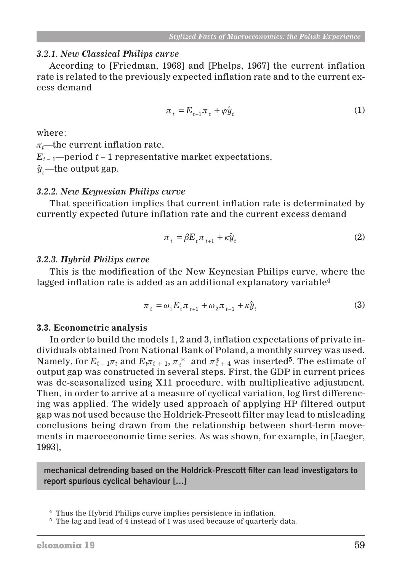#### *3.2.1. New Classical Philips curve*

According to [Friedman, 1968] and [Phelps, 1967] the current inflation rate is related to the previously expected inflation rate and to the current excess demand

$$
\pi_t = E_{t-1}\pi_t + \varphi \hat{y}_t \tag{1}
$$

where:

 $\pi_t$ —the current inflation rate,

 $E_{t-1}$ —period  $t-1$  representative market expectations,

 $\hat{y}_{i}$ —the output gap.

#### *3.2.2. New Keynesian Philips curve*

That specification implies that current inflation rate is determinated by currently expected future inflation rate and the current excess demand

$$
\pi_t = \beta E_t \pi_{t+1} + \kappa \hat{y}_t \tag{2}
$$

#### *3.2.3. Hybrid Philips curve*

This is the modification of the New Keynesian Philips curve, where the lagged inflation rate is added as an additional explanatory variable<sup>4</sup>

$$
\pi_t = \omega_1 E_t \pi_{t+1} + \omega_2 \pi_{t-1} + \kappa \hat{y}_t
$$
\n(3)

#### **3.3. Econometric analysis**

In order to build the models 1, 2 and 3, inflation expectations of private individuals obtained from National Bank of Poland, a monthly survey was used. Namely, for  $E_{t-1}\pi_t$  and  $E_t\pi_{t+1}$ ,  $\pi_t^*$  and  $\pi_{t+4}^*$  was inserted<sup>5</sup>. The estimate of output gap was constructed in several steps. First, the GDP in current prices was de-seasonalized using X11 procedure, with multiplicative adjustment. Then, in order to arrive at a measure of cyclical variation, log first differencing was applied. The widely used approach of applying HP filtered output gap was not used because the Holdrick-Prescott filter may lead to misleading conclusions being drawn from the relationship between short-term movements in macroeconomic time series. As was shown, for example, in [Jaeger, 1993],

**mechanical detrending based on the Holdrick-Prescott filter can lead investigators to report spurious cyclical behaviour […]**

<sup>4</sup> Thus the Hybrid Philips curve implies persistence in inflation.

<sup>&</sup>lt;sup>5</sup> The lag and lead of 4 instead of 1 was used because of quarterly data.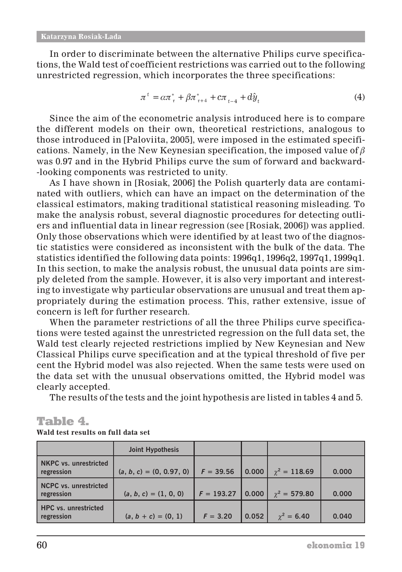In order to discriminate between the alternative Philips curve specifications, the Wald test of coefficient restrictions was carried out to the following unrestricted regression, which incorporates the three specifications:

$$
\pi^{t} = \alpha \pi_{\tau}^{*} + \beta \pi_{\tau+4}^{*} + c \pi_{t-4} + d\hat{y}_{t}
$$
\n(4)

Since the aim of the econometric analysis introduced here is to compare the different models on their own, theoretical restrictions, analogous to those introduced in [Paloviita, 2005], were imposed in the estimated specifications. Namely, in the New Keynesian specification, the imposed value of  $\beta$ was 0*.*97 and in the Hybrid Philips curve the sum of forward and backward- -looking components was restricted to unity.

As I have shown in [Rosiak, 2006] the Polish quarterly data are contaminated with outliers, which can have an impact on the determination of the classical estimators, making traditional statistical reasoning misleading. To make the analysis robust, several diagnostic procedures for detecting outliers and influential data in linear regression (see [Rosiak, 2006]) was applied. Only those observations which were identified by at least two of the diagnostic statistics were considered as inconsistent with the bulk of the data. The statistics identified the following data points: 1996q1, 1996q2, 1997q1, 1999q1. In this section, to make the analysis robust, the unusual data points are simply deleted from the sample. However, it is also very important and interesting to investigate why particular observations are unusual and treat them appropriately during the estimation process. This, rather extensive, issue of concern is left for further research.

When the parameter restrictions of all the three Philips curve specifications were tested against the unrestricted regression on the full data set, the Wald test clearly rejected restrictions implied by New Keynesian and New Classical Philips curve specification and at the typical threshold of five per cent the Hybrid model was also rejected. When the same tests were used on the data set with the unusual observations omitted, the Hybrid model was clearly accepted.

The results of the tests and the joint hypothesis are listed in tables 4 and 5.

## Table 4.

|                                            | <b>Joint Hypothesis</b>    |              |       |                     |       |
|--------------------------------------------|----------------------------|--------------|-------|---------------------|-------|
| <b>NKPC</b> vs. unrestricted<br>regression | $(a, b, c) = (0, 0.97, 0)$ | $F = 39.56$  | 0.000 | $\gamma^2 = 118.69$ | 0.000 |
| <b>NCPC</b> vs. unrestricted<br>regression | $(a, b, c) = (1, 0, 0)$    | $F = 193.27$ | 0.000 | $\gamma^2 = 579.80$ | 0.000 |
| <b>HPC</b> vs. unrestricted<br>regression  | $(a, b + c) = (0, 1)$      | $F = 3.20$   | 0.052 | $\gamma^2 = 6.40$   | 0.040 |

#### **Wald test results on full data set**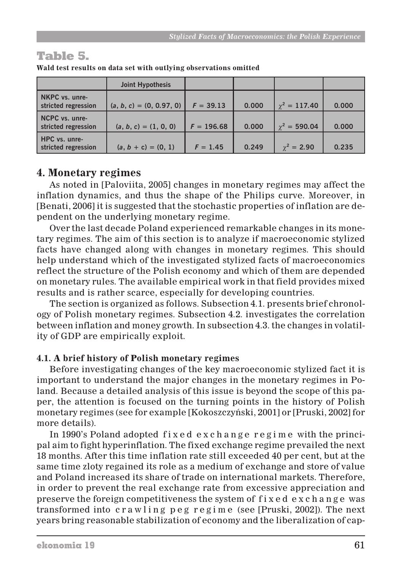# Table 5.

|                                       | Joint Hypothesis           |              |       |                     |       |
|---------------------------------------|----------------------------|--------------|-------|---------------------|-------|
| NKPC vs. unre-<br>stricted regression | $(a, b, c) = (0, 0.97, 0)$ | $F = 39.13$  | 0.000 | $\gamma^2 = 117.40$ | 0.000 |
| NCPC vs. unre-<br>stricted regression | $(a, b, c) = (1, 0, 0)$    | $F = 196.68$ | 0.000 | $\chi^2 = 590.04$   | 0.000 |
| HPC vs. unre-<br>stricted regression  | $(a, b + c) = (0, 1)$      | $F = 1.45$   | 0.249 | $\gamma^2 = 2.90$   | 0.235 |

**Wald test results on data set with outlying observations omitted**

## **4. Monetary regimes**

As noted in [Paloviita, 2005] changes in monetary regimes may affect the inflation dynamics, and thus the shape of the Philips curve. Moreover, in [Benati, 2006] it is suggested that the stochastic properties of inflation are dependent on the underlying monetary regime.

Over the last decade Poland experienced remarkable changes in its monetary regimes. The aim of this section is to analyze if macroeconomic stylized facts have changed along with changes in monetary regimes. This should help understand which of the investigated stylized facts of macroeconomics reflect the structure of the Polish economy and which of them are depended on monetary rules. The available empirical work in that field provides mixed results and is rather scarce, especially for developing countries.

The section is organized as follows. Subsection 4.1. presents brief chronology of Polish monetary regimes. Subsection 4.2. investigates the correlation between inflation and money growth. In subsection 4.3. the changes in volatility of GDP are empirically exploit.

## **4.1. A brief history of Polish monetary regimes**

Before investigating changes of the key macroeconomic stylized fact it is important to understand the major changes in the monetary regimes in Poland. Because a detailed analysis of this issue is beyond the scope of this paper, the attention is focused on the turning points in the history of Polish monetary regimes (see for example [Kokoszczyñski, 2001] or [Pruski, 2002] for more details).

In 1990's Poland adopted fixed exchange regime with the principal aim to fight hyperinflation. The fixed exchange regime prevailed the next 18 months. After this time inflation rate still exceeded 40 per cent, but at the same time zloty regained its role as a medium of exchange and store of value and Poland increased its share of trade on international markets. Therefore, in order to prevent the real exchange rate from excessive appreciation and preserve the foreign competitiveness the system of  $f$  ixed exchange was transformed into crawling peg regime (see [Pruski, 2002]). The next years bring reasonable stabilization of economy and the liberalization of cap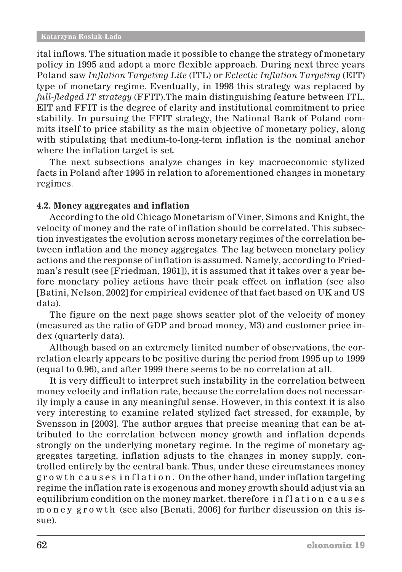ital inflows. The situation made it possible to change the strategy of monetary policy in 1995 and adopt a more flexible approach. During next three years Poland saw *Inflation Targeting Lite* (ITL) or *Eclectic Inflation Targeting* (EIT) type of monetary regime. Eventually, in 1998 this strategy was replaced by *full-fledged IT strategy* (FFIT).The main distinguishing feature between ITL, EIT and FFIT is the degree of clarity and institutional commitment to price stability. In pursuing the FFIT strategy, the National Bank of Poland commits itself to price stability as the main objective of monetary policy, along with stipulating that medium-to-long-term inflation is the nominal anchor where the inflation target is set.

The next subsections analyze changes in key macroeconomic stylized facts in Poland after 1995 in relation to aforementioned changes in monetary regimes.

#### **4.2. Money aggregates and inflation**

According to the old Chicago Monetarism of Viner, Simons and Knight, the velocity of money and the rate of inflation should be correlated. This subsection investigates the evolution across monetary regimes of the correlation between inflation and the money aggregates. The lag between monetary policy actions and the response of inflation is assumed. Namely, according to Friedman's result (see [Friedman, 1961]), it is assumed that it takes over a year before monetary policy actions have their peak effect on inflation (see also [Batini, Nelson, 2002] for empirical evidence of that fact based on UK and US data).

The figure on the next page shows scatter plot of the velocity of money (measured as the ratio of GDP and broad money, M3) and customer price index (quarterly data).

Although based on an extremely limited number of observations, the correlation clearly appears to be positive during the period from 1995 up to 1999 (equal to 0*.*96), and after 1999 there seems to be no correlation at all.

It is very difficult to interpret such instability in the correlation between money velocity and inflation rate, because the correlation does not necessarily imply a cause in any meaningful sense. However, in this context it is also very interesting to examine related stylized fact stressed, for example, by Svensson in [2003]. The author argues that precise meaning that can be attributed to the correlation between money growth and inflation depends strongly on the underlying monetary regime. In the regime of monetary aggregates targeting, inflation adjusts to the changes in money supply, controlled entirely by the central bank. Thus, under these circumstances money g r o w t h c a u s e s i n f l a t i o n . On the other hand, under inflation targeting regime the inflation rate is exogenous and money growth should adjust via an equilibrium condition on the money market, therefore inflation causes money growth (see also [Benati, 2006] for further discussion on this issue).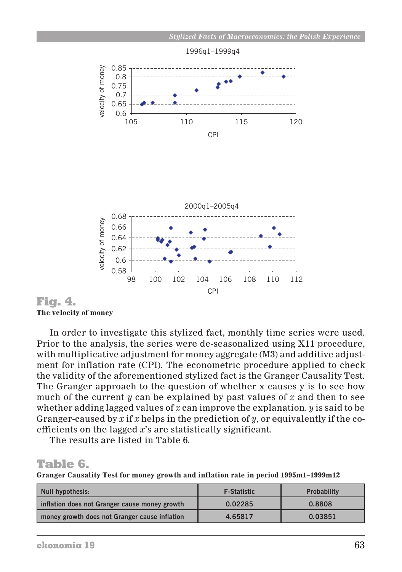

Fig. 4. **The velocity of money**

In order to investigate this stylized fact, monthly time series were used. Prior to the analysis, the series were de-seasonalized using X11 procedure, with multiplicative adjustment for money aggregate (M3) and additive adjustment for inflation rate (CPI). The econometric procedure applied to check the validity of the aforementioned stylized fact is the Granger Causality Test. The Granger approach to the question of whether x causes y is to see how much of the current *y* can be explained by past values of *x* and then to see whether adding lagged values of *x* can improve the explanation. *y* is said to be Granger-caused by *x* if *x* helps in the prediction of *y*, or equivalently if the coefficients on the lagged *x*'s are statistically significant.

The results are listed in Table 6.

# Table 6.

**Granger Causality Test for money growth and inflation rate in period 1995m1–1999m12**

| Null hypothesis:                              | <b>F-Statistic</b> | <b>Probability</b> |
|-----------------------------------------------|--------------------|--------------------|
| inflation does not Granger cause money growth | 0.02285            | 0.8808             |
| money growth does not Granger cause inflation | 4.65817            | 0.03851            |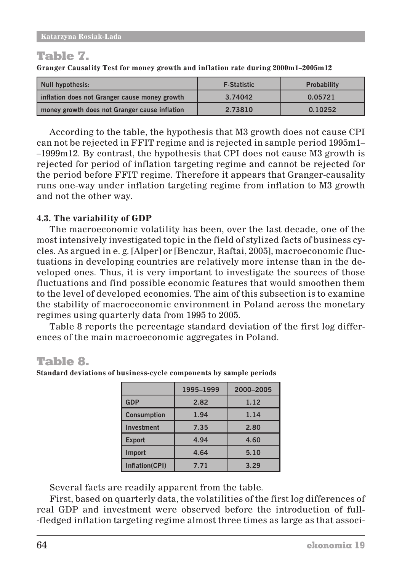# Table 7.

**Granger Causality Test for money growth and inflation rate during 2000m1–2005m12**

| Null hypothesis:                              | <b>F-Statistic</b> | <b>Probability</b> |
|-----------------------------------------------|--------------------|--------------------|
| inflation does not Granger cause money growth | 3.74042            | 0.05721            |
| money growth does not Granger cause inflation | 2.73810            | 0.10252            |

According to the table, the hypothesis that M3 growth does not cause CPI can not be rejected in FFIT regime and is rejected in sample period 1995m1– –1999m12. By contrast, the hypothesis that CPI does not cause M3 growth is rejected for period of inflation targeting regime and cannot be rejected for the period before FFIT regime. Therefore it appears that Granger-causality runs one-way under inflation targeting regime from inflation to M3 growth and not the other way.

## **4.3. The variability of GDP**

The macroeconomic volatility has been, over the last decade, one of the most intensively investigated topic in the field of stylized facts of business cycles. As argued in e. g. [Alper] or [Benczur, Raftai, 2005], macroeconomic fluctuations in developing countries are relatively more intense than in the developed ones. Thus, it is very important to investigate the sources of those fluctuations and find possible economic features that would smoothen them to the level of developed economies. The aim of this subsection is to examine the stability of macroeconomic environment in Poland across the monetary regimes using quarterly data from 1995 to 2005.

Table 8 reports the percentage standard deviation of the first log differences of the main macroeconomic aggregates in Poland.

# Table 8.

**Standard deviations of business-cycle components by sample periods**

|                    | 1995-1999 | 2000-2005 |
|--------------------|-----------|-----------|
| <b>GDP</b>         | 2.82      | 1.12      |
| <b>Consumption</b> | 1.94      | 1.14      |
| <b>Investment</b>  | 7.35      | 2.80      |
| <b>Export</b>      | 4.94      | 4.60      |
| Import             | 4.64      | 5.10      |
| Inflation(CPI)     | 7.71      | 3.29      |

Several facts are readily apparent from the table.

First, based on quarterly data, the volatilities of the first log differences of real GDP and investment were observed before the introduction of full- -fledged inflation targeting regime almost three times as large as that associ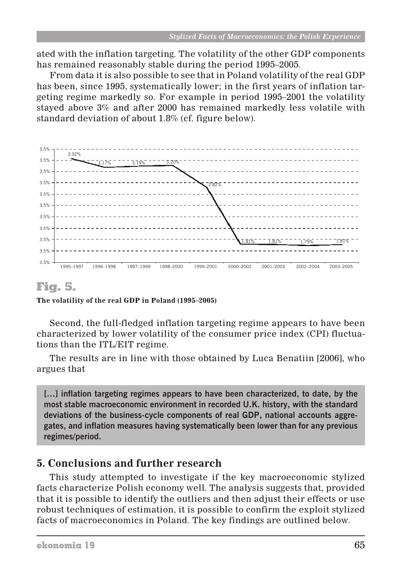ated with the inflation targeting. The volatility of the other GDP components has remained reasonably stable during the period 1995–2005.

From data it is also possible to see that in Poland volatility of the real GDP has been, since 1995, systematically lower; in the first years of inflation targeting regime markedly so. For example in period 1995–2001 the volatility stayed above 3% and after 2000 has remained markedly less volatile with standard deviation of about 1*.*8% (cf. figure below).



## Fig. 5.

**The volatility of the real GDP in Poland (1995–2005)**

Second, the full-fledged inflation targeting regime appears to have been characterized by lower volatility of the consumer price index (CPI) fluctuations than the ITL/EIT regime.

The results are in line with those obtained by Luca Benatiin [2006], who argues that

**[…] inflation targeting regimes appears to have been characterized, to date, by the most stable macroeconomic environment in recorded U.K. history, with the standard deviations of the business-cycle components of real GDP, national accounts aggregates, and inflation measures having systematically been lower than for any previous regimes/period.**

## **5. Conclusions and further research**

This study attempted to investigate if the key macroeconomic stylized facts characterize Polish economy well. The analysis suggests that, provided that it is possible to identify the outliers and then adjust their effects or use robust techniques of estimation, it is possible to confirm the exploit stylized facts of macroeconomics in Poland. The key findings are outlined below.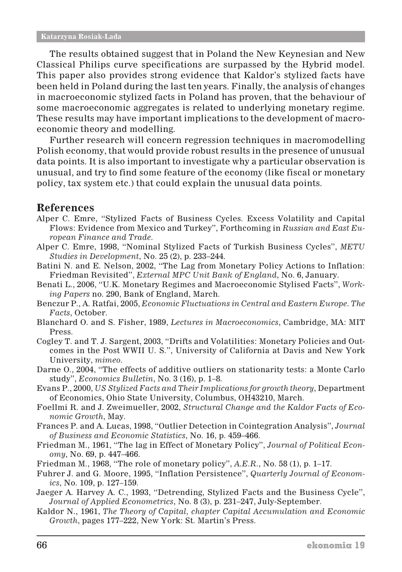The results obtained suggest that in Poland the New Keynesian and New Classical Philips curve specifications are surpassed by the Hybrid model. This paper also provides strong evidence that Kaldor's stylized facts have been held in Poland during the last ten years. Finally, the analysis of changes in macroeconomic stylized facts in Poland has proven, that the behaviour of some macroeconomic aggregates is related to underlying monetary regime. These results may have important implications to the development of macroeconomic theory and modelling.

Further research will concern regression techniques in macromodelling Polish economy, that would provide robust results in the presence of unusual data points. It is also important to investigate why a particular observation is unusual, and try to find some feature of the economy (like fiscal or monetary policy, tax system etc.) that could explain the unusual data points.

## **References**

- Alper C. Emre, "Stylized Facts of Business Cycles. Excess Volatility and Capital Flows: Evidence from Mexico and Turkey", Forthcoming in *Russian and East European Finance and Trade*.
- Alper C. Emre, 1998, "Nominal Stylized Facts of Turkish Business Cycles", *METU Studies in Development*, No. 25 (2), p. 233–244.
- Batini N. and E. Nelson, 2002, "The Lag from Monetary Policy Actions to Inflation: Friedman Revisited", *External MPC Unit Bank of England*, No. 6, January.
- Benati L., 2006, "U.K. Monetary Regimes and Macroeconomic Stylised Facts", *Working Papers* no. 290, Bank of England, March.
- Benczur P., A. Ratfai, 2005, *Economic Fluctuations in Central and Eastern Europe. The Facts*, October.
- Blanchard O. and S. Fisher, 1989, *Lectures in Macroeconomics*, Cambridge, MA: MIT Press.
- Cogley T. and T. J. Sargent, 2003, "Drifts and Volatilities: Monetary Policies and Outcomes in the Post WWII U. S.", University of California at Davis and New York University, *mimeo*.
- Darne O., 2004, "The effects of additive outliers on stationarity tests: a Monte Carlo study", *Economics Bulletin*, No. 3 (16), p. 1–8.
- Evans P., 2000, *US Stylized Facts and Their Implications for growth theory*, Department of Economics, Ohio State University, Columbus, OH43210, March.
- Foellmi R. and J. Zweimueller, 2002, *Structural Change and the Kaldor Facts of Economic Growth*, May.
- Frances P. and A. Lucas, 1998, "Outlier Detection in Cointegration Analysis", *Journal of Business and Economic Statistics*, No. 16, p. 459–466.
- Friedman M., 1961, "The lag in Effect of Monetary Policy", *Journal of Political Economy*, No. 69, p. 447–466.
- Friedman M., 1968, "The role of monetary policy", *A.E.R*., No. 58 (1), p. 1–17.
- Fuhrer J. and G. Moore, 1995, "Inflation Persistence", *Quarterly Journal of Economics*, No. 109, p. 127–159.
- Jaeger A. Harvey A. C., 1993, "Detrending, Stylized Facts and the Business Cycle", *Journal of Applied Econometrics*, No. 8 (3), p. 231–247, July-September.
- Kaldor N., 1961, *The Theory of Capital, chapter Capital Accumulation and Economic Growth*, pages 177–222, New York: St. Martin's Press.